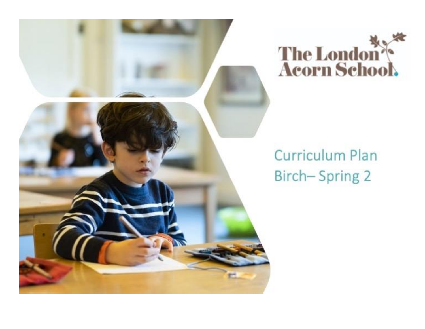



# **Curriculum Plan Birch-Spring 2**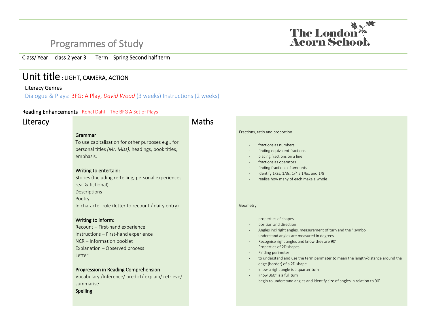# Programmes of Study



### Class/ Year class 2 year 3 Term Spring Second half term

### Unit title : LIGHT, CAMERA, ACTION

#### Literacy Genres

Dialogue & Plays: BFG: A Play, *David Wood* (3 weeks) Instructions (2 weeks)

#### Reading Enhancements Rohal Dahl – The BFG A Set of Plays

### **Literacy**

#### Grammar

To use capitalisation for other purposes e.g., for personal titles *(Mr, Miss),* headings, book titles, emphasis.

#### Writing to entertain:

Stories (Including re-telling, personal experiences real & fictional) Descriptions Poetry In character role (letter to recount / dairy entry)

#### Writing to inform:

Recount – First-hand experience Instructions – First-hand experience NCR – Information booklet Explanation – Observed process Letter

#### Progression in Reading Comprehension

Vocabulary /Inference/ predict/ explain/ retrieve/ summarise Spelling

### Maths

#### Fractions, ratio and proportion

- fractions as numbers
- finding equivalent fractions
- placing fractions on a line
- fractions as operators
- finding fractions of amounts
- Identify 1/2s, 1/3s, 1/4,s 1/6s, and 1/8
- realise how many of each make a whole

#### Geometry

- properties of shapes
- position and direction
- Angles incl right angles, measurement of turn and the ° symbol
- understand angles are measured in degrees
- Recognise right angles and know they are 90°
- Properties of 2D shapes
- Finding perimeter
- to understand and use the term perimeter to mean the length/distance around the edge (border) of a 2D shape
- know a right angle is a quarter turn
- know 360° is a full turn
- begin to understand angles and identify size of angles in relation to 90°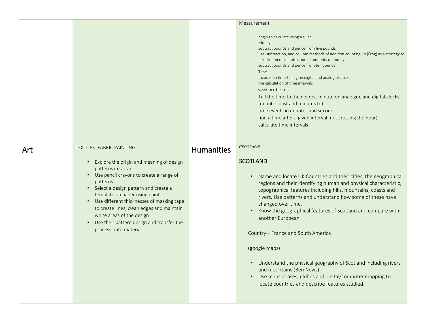|     |                                                                                                                                                                                                                                                                                                                                                                                                                             |                   | Measurement                                                                                                                                                                                                                                                                                                                                                                                                                                                                                                                                                                                                                                                                                       |
|-----|-----------------------------------------------------------------------------------------------------------------------------------------------------------------------------------------------------------------------------------------------------------------------------------------------------------------------------------------------------------------------------------------------------------------------------|-------------------|---------------------------------------------------------------------------------------------------------------------------------------------------------------------------------------------------------------------------------------------------------------------------------------------------------------------------------------------------------------------------------------------------------------------------------------------------------------------------------------------------------------------------------------------------------------------------------------------------------------------------------------------------------------------------------------------------|
|     |                                                                                                                                                                                                                                                                                                                                                                                                                             |                   | begin to calculate using a ruler<br>Money<br>subtract pounds and pence from five pounds<br>use .subtraction, and column methods of addition.counting up (Frog) as a strategy to<br>perform mental subtraction of amounts of money<br>subtract pounds and pence from ten pounds<br>Time<br>$\overline{\phantom{a}}$<br>focuses on time-telling on digital and analogue clocks<br>the calculation of time intervals<br>word problems<br>Tell the time to the nearest minute on analogue and digital clocks<br>(minutes past and minutes to)<br>time events in minutes and seconds<br>find a time after a given interval (not crossing the hour)<br>calculate time intervals                         |
| Art | <b>TEXTILES- FABRIC PAINTING</b>                                                                                                                                                                                                                                                                                                                                                                                            | <b>Humanities</b> | <b>GEOGRAPHY</b>                                                                                                                                                                                                                                                                                                                                                                                                                                                                                                                                                                                                                                                                                  |
|     | Explore the origin and meaning of design<br>$\bullet$<br>patterns in tartan<br>• Use pencil crayons to create a range of<br>patterns<br>• Select a design pattern and create a<br>template on paper using paint<br>• Use different thicknesses of masking tape<br>to create lines, clean edges and maintain<br>white areas of the design<br>Use their pattern design and transfer the<br>$\bullet$<br>process onto material |                   | <b>SCOTLAND</b><br>• Name and locate UK Countries and their cities, the geographical<br>regions and their identifying human and physical characteristic,<br>topographical features including hills, mountains, coasts and<br>rivers. Use patterns and understand how some of these have<br>changed over time.<br>Know the geographical features of Scotland and compare with<br>$\bullet$<br>another European<br>Country - France and South America<br>(google maps)<br>• Understand the physical geography of Scotland including rivers<br>and mountains (Ben Nevis)<br>Use maps atlases, globes and digital/computer mapping to<br>$\bullet$<br>locate countries and describe features studied. |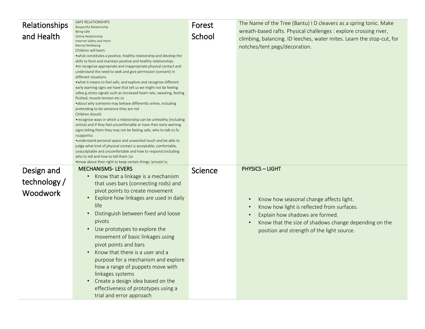| <b>Relationships</b> | SAFE RELATIONSHIPS<br>Respectful Relationship                                                                                                                                                                                                                                                                                                                                                                                                                                                                                                                                                                                                                                                                                                                                                                                                                                                                                                                                                                                                                                                                                                                                                                                                                                                                                                                               | Forest  | The Name of the Tree (Bantu) I D cleavers as a spring tonic. Make                                                                                                                                                               |
|----------------------|-----------------------------------------------------------------------------------------------------------------------------------------------------------------------------------------------------------------------------------------------------------------------------------------------------------------------------------------------------------------------------------------------------------------------------------------------------------------------------------------------------------------------------------------------------------------------------------------------------------------------------------------------------------------------------------------------------------------------------------------------------------------------------------------------------------------------------------------------------------------------------------------------------------------------------------------------------------------------------------------------------------------------------------------------------------------------------------------------------------------------------------------------------------------------------------------------------------------------------------------------------------------------------------------------------------------------------------------------------------------------------|---------|---------------------------------------------------------------------------------------------------------------------------------------------------------------------------------------------------------------------------------|
| and Health           | Being Safe<br>Online Relationship<br>Internet Safety and Harm<br>Mental Wellbeing<br>Children will learn:<br>• what constitutes a positive, healthy relationship and develop the<br>skills to form and maintain positive and healthy relationships<br>• to recognise appropriate and inappropriate physical contact and<br>understand the need to seek and give permission (consent) in<br>different situations<br>• what it means to feel safe, and explore and recognise different<br>early warning signs we have that tell us we might not be feeling<br>safee.g.stress signals such as increased heart rate, sweating, feeling<br>flushed, muscle tension etc.sg<br>• about why someone may behave differently online, including<br>pretending to be someone they are not<br>Children should:<br>• recognise ways in which a relationship can be unhealthy (including<br>online) and if they feel uncomfortable or have their early warning<br>signs telling them they may not be feeling safe, who to talk to fo<br>rsupportsg<br>• understand personal space and unwanted touch and be able to<br>judge what kind of physical contact is acceptable, comfortable,<br>unacceptable and uncomfortable and how to respond (including<br>who to tell and how to tell them )sG<br>. know about their right to keep certain things 'private's G<br><b>MECHANISMS-LEVERS</b> | School  | wreath-based rafts. Physical challenges : explore crossing river,<br>climbing, balancing. ID leeches, water mites. Learn the stop-cut, for<br>notches/tent pegs/decoration.<br><b>PHYSICS - LIGHT</b>                           |
| Design and           | Know that a linkage is a mechanism                                                                                                                                                                                                                                                                                                                                                                                                                                                                                                                                                                                                                                                                                                                                                                                                                                                                                                                                                                                                                                                                                                                                                                                                                                                                                                                                          | Science |                                                                                                                                                                                                                                 |
| technology /         | that uses bars (connecting rods) and                                                                                                                                                                                                                                                                                                                                                                                                                                                                                                                                                                                                                                                                                                                                                                                                                                                                                                                                                                                                                                                                                                                                                                                                                                                                                                                                        |         |                                                                                                                                                                                                                                 |
| Woodwork             | pivot points to create movement<br>Explore how linkages are used in daily<br>life<br>Distinguish between fixed and loose<br>pivots<br>Use prototypes to explore the<br>movement of basic linkages using<br>pivot points and bars<br>Know that there is a user and a<br>purpose for a mechanism and explore<br>how a range of puppets move with<br>linkages systems<br>Create a design idea based on the<br>effectiveness of prototypes using a<br>trial and error approach                                                                                                                                                                                                                                                                                                                                                                                                                                                                                                                                                                                                                                                                                                                                                                                                                                                                                                  |         | Know how seasonal change affects light.<br>Know how light is reflected from surfaces.<br>Explain how shadows are formed.<br>Know that the size of shadows change depending on the<br>position and strength of the light source. |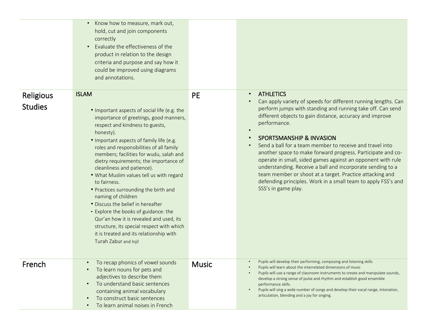|                                    | Know how to measure, mark out,<br>$\bullet$<br>hold, cut and join components<br>correctly<br>Evaluate the effectiveness of the<br>$\bullet$<br>product in relation to the design<br>criteria and purpose and say how it<br>could be improved using diagrams<br>and annotations.                                                                                                                                                                                                                                                                                                                                                                                                                                                       |              |                                                                                                                                                                                                                                                                                                                                                                                                                                                                                                                                                                                                                                                                                                                                     |
|------------------------------------|---------------------------------------------------------------------------------------------------------------------------------------------------------------------------------------------------------------------------------------------------------------------------------------------------------------------------------------------------------------------------------------------------------------------------------------------------------------------------------------------------------------------------------------------------------------------------------------------------------------------------------------------------------------------------------------------------------------------------------------|--------------|-------------------------------------------------------------------------------------------------------------------------------------------------------------------------------------------------------------------------------------------------------------------------------------------------------------------------------------------------------------------------------------------------------------------------------------------------------------------------------------------------------------------------------------------------------------------------------------------------------------------------------------------------------------------------------------------------------------------------------------|
| <b>Religious</b><br><b>Studies</b> | <b>ISLAM</b><br>• Important aspects of social life (e.g. the<br>importance of greetings, good manners,<br>respect and kindness to guests,<br>honesty).<br>. Important aspects of family life (e.g.<br>roles and responsibilities of all family<br>members; facilities for wudu, salah and<br>dietry requirements; the importance of<br>cleanliness and patience).<br>. What Muslim values tell us with regard<br>to fairness.<br>• Practices surrounding the birth and<br>naming of children<br>• Discuss the belief in hereafter<br>• Explore the books of guidance: the<br>Qur'an how it is revealed and used, its<br>structure, its special respect with which<br>it is treated and its relationship with<br>Turah Zabur and Injil | <b>PE</b>    | <b>ATHLETICS</b><br>$\bullet$<br>Can apply variety of speeds for different running lengths. Can<br>$\bullet$<br>perform jumps with standing and running take off. Can send<br>different objects to gain distance, accuracy and improve<br>performance.<br><b>SPORTSMANSHIP &amp; INVASION</b><br>$\bullet$<br>Send a ball for a team member to receive and travel into<br>$\bullet$<br>another space to make forward progress. Participate and co-<br>operate in small, sided games against an opponent with rule<br>understanding. Receive a ball and incorporate sending to a<br>team member or shoot at a target. Practice attacking and<br>defending principles. Work in a small team to apply FSS's and<br>SSS's in game play. |
| French                             | To recap phonics of vowel sounds<br>To learn nouns for pets and<br>adjectives to describe them<br>To understand basic sentences<br>$\bullet$<br>containing animal vocabulary<br>To construct basic sentences<br>$\bullet$<br>To learn animal noises in French<br>$\bullet$                                                                                                                                                                                                                                                                                                                                                                                                                                                            | <b>Music</b> | Pupils will develop their performing, composing and listening skills<br>Pupils will learn about the interrelated dimensions of music<br>Pupils will use a range of classroom instruments to create and manipulate sounds,<br>develop a strong sense of pulse and rhythm and establish good ensemble<br>performance skills.<br>Pupils will sing a wide number of songs and develop their vocal range, intonation,<br>$\bullet$<br>articulation, blending and a joy for singing.                                                                                                                                                                                                                                                      |